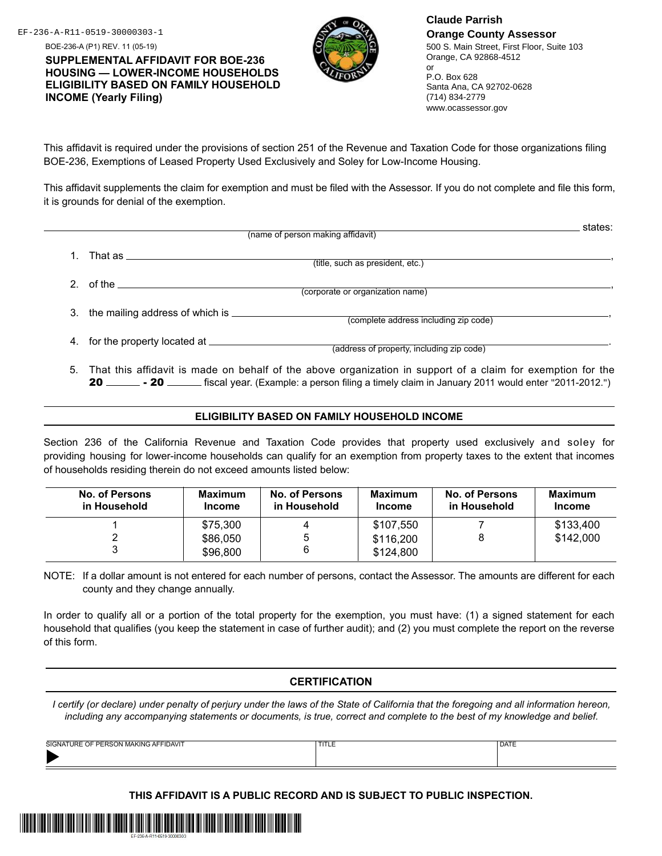BOE-236-A (P1) REV. 11 (05-19) **SUPPLEMENTAL AFFIDAVIT FOR BOE-236 HOUSING — LOWER-INCOME HOUSEHOLDS ELIGIBILITY BASED ON FAMILY HOUSEHOLD INCOME (Yearly Filing)**



EF-236-A-R11-0519-30000303-1 **Claude Parrish Orange County Assessor** 500 S. Main Street, First Floor, Suite 103 Orange, CA 92868-4512

or P.O. Box 628 Santa Ana, CA 92702-0628 (714) 834-2779 www.ocassessor.gov

This affidavit is required under the provisions of section 251 of the Revenue and Taxation Code for those organizations filing BOE-236, Exemptions of Leased Property Used Exclusively and Soley for Low-Income Housing.

This affidavit supplements the claim for exemption and must be filed with the Assessor. If you do not complete and file this form, it is grounds for denial of the exemption.

|    |                                 | (name of person making affidavit)         | states: |
|----|---------------------------------|-------------------------------------------|---------|
|    | That as                         | (title, such as president, etc.)          |         |
|    | of the $\qquad \qquad$          | (corporate or organization name)          |         |
| 3. | the mailing address of which is | (complete address including zip code)     |         |
| 4. | for the property located at     | (address of property, including zip code) |         |

5. That this affidavit is made on behalf of the above organization in support of a claim for exemption for the 20 \_\_\_\_\_\_\_\_ - 20 \_\_\_\_\_\_\_ fiscal year. (Example: a person filing a timely claim in January 2011 would enter "2011-2012.")

## **ELIGIBILITY BASED ON FAMILY HOUSEHOLD INCOME**

Section 236 of the California Revenue and Taxation Code provides that property used exclusively and soley for providing housing for lower-income households can qualify for an exemption from property taxes to the extent that incomes of households residing therein do not exceed amounts listed below:

| <b>No. of Persons</b><br>in Household | <b>Maximum</b><br><b>Income</b> | No. of Persons<br>in Household | <b>Maximum</b><br><b>Income</b> | <b>No. of Persons</b><br>in Household | <b>Maximum</b><br><b>Income</b> |
|---------------------------------------|---------------------------------|--------------------------------|---------------------------------|---------------------------------------|---------------------------------|
|                                       | \$75.300                        |                                | \$107.550                       |                                       | \$133,400                       |
|                                       | \$86,050                        | 5                              | \$116,200                       |                                       | \$142,000                       |
|                                       | \$96,800                        | 6                              | \$124,800                       |                                       |                                 |

NOTE: If a dollar amount is not entered for each number of persons, contact the Assessor. The amounts are different for each county and they change annually.

In order to qualify all or a portion of the total property for the exemption, you must have: (1) a signed statement for each household that qualifies (you keep the statement in case of further audit); and (2) you must complete the report on the reverse of this form.

## **CERTIFICATION**

*I certify (or declare) under penalty of perjury under the laws of the State of California that the foregoing and all information hereon, including any accompanying statements or documents, is true, correct and complete to the best of my knowledge and belief.*

| <b>TIDAVIT</b><br>SIGNA <sup>-</sup><br>AK IN'<br><b>URF</b><br>$\cdots$ | . | <sup>1</sup> DATE |
|--------------------------------------------------------------------------|---|-------------------|
|                                                                          |   |                   |

**THIS AFFIDAVIT IS A PUBLIC RECORD AND IS SUBJECT TO PUBLIC INSPECTION.**

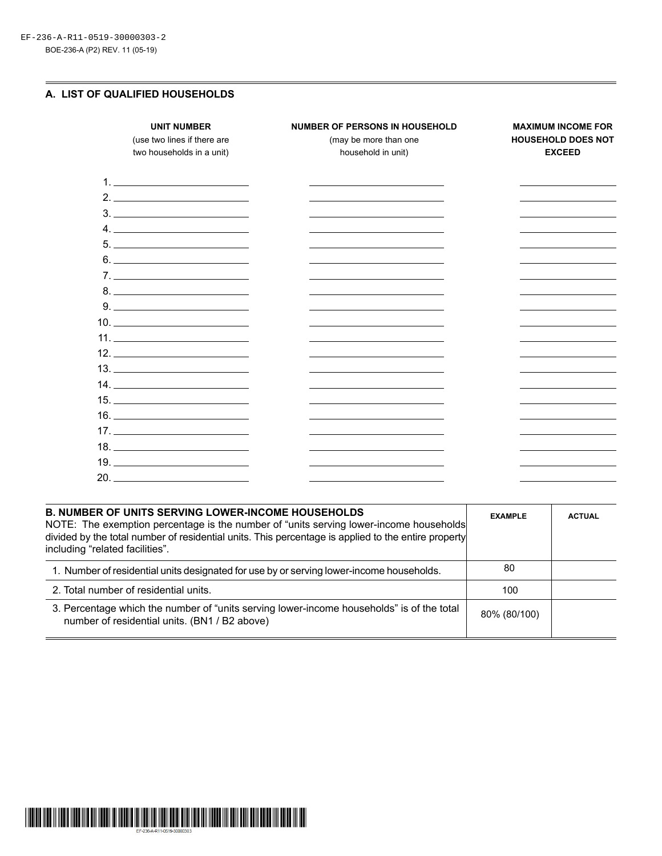## **A. LIST OF QUALIFIED HOUSEHOLDS**

| <b>UNIT NUMBER</b><br>(use two lines if there are<br>two households in a unit)                                                                                                                                                                                                                                                                                                                                                                                                                      | <b>NUMBER OF PERSONS IN HOUSEHOLD</b><br>(may be more than one<br>household in unit) | <b>MAXIMUM INCOME FOR</b><br><b>HOUSEHOLD DOES NOT</b><br><b>EXCEED</b> |
|-----------------------------------------------------------------------------------------------------------------------------------------------------------------------------------------------------------------------------------------------------------------------------------------------------------------------------------------------------------------------------------------------------------------------------------------------------------------------------------------------------|--------------------------------------------------------------------------------------|-------------------------------------------------------------------------|
|                                                                                                                                                                                                                                                                                                                                                                                                                                                                                                     |                                                                                      |                                                                         |
|                                                                                                                                                                                                                                                                                                                                                                                                                                                                                                     |                                                                                      |                                                                         |
| $\begin{tabular}{c} 3. \end{tabular}$                                                                                                                                                                                                                                                                                                                                                                                                                                                               |                                                                                      |                                                                         |
| $\begin{array}{c} \n4. \quad \textcolor{blue}{\textbf{12.12}} \quad \textcolor{blue}{\textbf{24.13}} \quad \textcolor{blue}{\textbf{25.13}} \quad \textcolor{blue}{\textbf{26.13}} \quad \textcolor{blue}{\textbf{27.13}} \quad \textcolor{blue}{\textbf{28.13}} \quad \textcolor{blue}{\textbf{29.13}} \quad \textcolor{blue}{\textbf{21.13}} \quad \textcolor{blue}{\textbf{21.13}} \quad \textcolor{blue}{\textbf{21.13}} \quad \textcolor{blue}{\textbf{21.13}} \quad \textcolor{blue}{\textbf$ |                                                                                      |                                                                         |
| $\begin{tabular}{c} 5. & \begin{tabular}{@{}c@{}} \textbf{---} & \textbf{---} & \textbf{---} & \textbf{---} \\ \end{tabular} \end{tabular}$                                                                                                                                                                                                                                                                                                                                                         |                                                                                      |                                                                         |
| 6.                                                                                                                                                                                                                                                                                                                                                                                                                                                                                                  |                                                                                      |                                                                         |
|                                                                                                                                                                                                                                                                                                                                                                                                                                                                                                     |                                                                                      |                                                                         |
| $8.$ $\overline{\phantom{a}}$                                                                                                                                                                                                                                                                                                                                                                                                                                                                       |                                                                                      |                                                                         |
| $9. \underline{\hspace{2cm}}$                                                                                                                                                                                                                                                                                                                                                                                                                                                                       |                                                                                      |                                                                         |
|                                                                                                                                                                                                                                                                                                                                                                                                                                                                                                     |                                                                                      |                                                                         |
| 11.                                                                                                                                                                                                                                                                                                                                                                                                                                                                                                 |                                                                                      |                                                                         |
|                                                                                                                                                                                                                                                                                                                                                                                                                                                                                                     |                                                                                      |                                                                         |
|                                                                                                                                                                                                                                                                                                                                                                                                                                                                                                     |                                                                                      |                                                                         |
|                                                                                                                                                                                                                                                                                                                                                                                                                                                                                                     |                                                                                      |                                                                         |
|                                                                                                                                                                                                                                                                                                                                                                                                                                                                                                     |                                                                                      |                                                                         |
|                                                                                                                                                                                                                                                                                                                                                                                                                                                                                                     |                                                                                      |                                                                         |
|                                                                                                                                                                                                                                                                                                                                                                                                                                                                                                     |                                                                                      |                                                                         |
|                                                                                                                                                                                                                                                                                                                                                                                                                                                                                                     |                                                                                      |                                                                         |
|                                                                                                                                                                                                                                                                                                                                                                                                                                                                                                     |                                                                                      |                                                                         |
|                                                                                                                                                                                                                                                                                                                                                                                                                                                                                                     |                                                                                      |                                                                         |

| <b>EXAMPLE</b> | <b>ACTUAL</b>                                                                                                                                                                                 |
|----------------|-----------------------------------------------------------------------------------------------------------------------------------------------------------------------------------------------|
| 80             |                                                                                                                                                                                               |
| 100            |                                                                                                                                                                                               |
| 80% (80/100)   |                                                                                                                                                                                               |
|                | NOTE: The exemption percentage is the number of "units serving lower-income households<br>divided by the total number of residential units. This percentage is applied to the entire property |

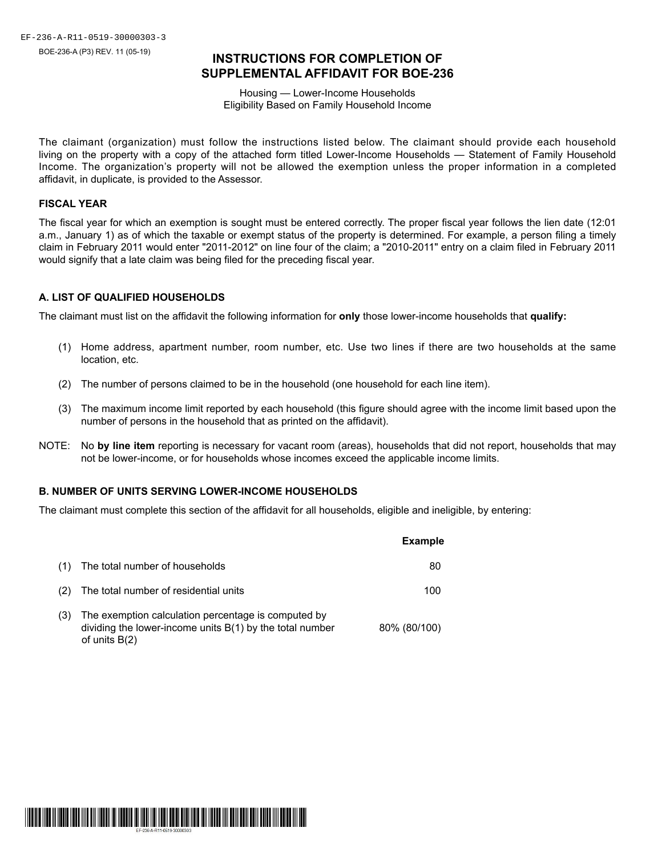# **INSTRUCTIONS FOR COMPLETION OF SUPPLEMENTAL AFFIDAVIT FOR BOE-236**

Housing — Lower-Income Households Eligibility Based on Family Household Income

The claimant (organization) must follow the instructions listed below. The claimant should provide each household living on the property with a copy of the attached form titled Lower-Income Households — Statement of Family Household Income. The organization's property will not be allowed the exemption unless the proper information in a completed affidavit, in duplicate, is provided to the Assessor.

## **FISCAL YEAR**

The fiscal year for which an exemption is sought must be entered correctly. The proper fiscal year follows the lien date (12:01 a.m., January 1) as of which the taxable or exempt status of the property is determined. For example, a person filing a timely claim in February 2011 would enter "2011-2012" on line four of the claim; a "2010-2011" entry on a claim filed in February 2011 would signify that a late claim was being filed for the preceding fiscal year.

## **A. LIST OF QUALIFIED HOUSEHOLDS**

The claimant must list on the affidavit the following information for **only** those lower-income households that **qualify:**

- (1) Home address, apartment number, room number, etc. Use two lines if there are two households at the same location, etc.
- (2) The number of persons claimed to be in the household (one household for each line item).
- (3) The maximum income limit reported by each household (this figure should agree with the income limit based upon the number of persons in the household that as printed on the affidavit).
- NOTE: No **by line item** reporting is necessary for vacant room (areas), households that did not report, households that may not be lower-income, or for households whose incomes exceed the applicable income limits.

## **B. NUMBER OF UNITS SERVING LOWER-INCOME HOUSEHOLDS**

The claimant must complete this section of the affidavit for all households, eligible and ineligible, by entering:

|     |                                                                                                                                      | <b>Example</b> |
|-----|--------------------------------------------------------------------------------------------------------------------------------------|----------------|
| (1) | The total number of households                                                                                                       | 80             |
| (2) | The total number of residential units                                                                                                | 100            |
| (3) | The exemption calculation percentage is computed by<br>dividing the lower-income units $B(1)$ by the total number<br>of units $B(2)$ | 80% (80/100)   |

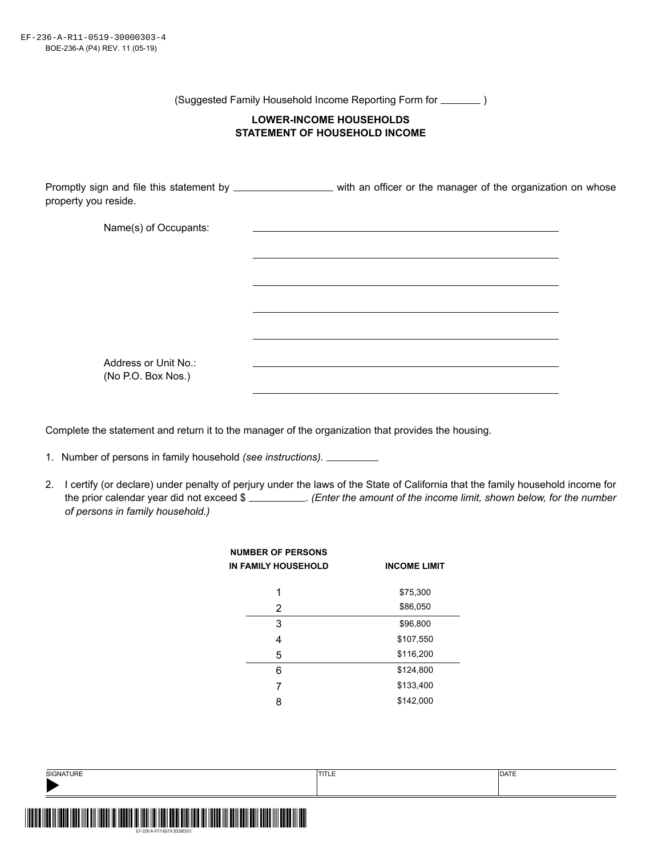(Suggested Family Household Income Reporting Form for  $\sqrt{ }$ 

## **LOWER-INCOME HOUSEHOLDS STATEMENT OF HOUSEHOLD INCOME**

Promptly sign and file this statement by \_\_\_\_\_\_\_\_\_\_\_\_\_\_\_\_\_\_ with an officer or the manager of the organization on whose property you reside.

| Name(s) of Occupants: |  |
|-----------------------|--|
|                       |  |
|                       |  |
|                       |  |
|                       |  |
|                       |  |
|                       |  |
| Address or Unit No.:  |  |
| (No P.O. Box Nos.)    |  |

Complete the statement and return it to the manager of the organization that provides the housing.

- 1. Number of persons in family household *(see instructions).*
- 2. I certify (or declare) under penalty of perjury under the laws of the State of California that the family household income for the prior calendar year did not exceed \$ . *(Enter the amount of the income limit, shown below, for the number of persons in family household.)*

| <b>NUMBER OF PERSONS</b><br><b>IN FAMILY HOUSEHOLD</b> | <b>INCOME LIMIT</b> |
|--------------------------------------------------------|---------------------|
| 1                                                      | \$75,300            |
| 2                                                      | \$86,050            |
| 3                                                      | \$96,800            |
| 4                                                      | \$107,550           |
| 5                                                      | \$116,200           |
| 6                                                      | \$124,800           |
| 7                                                      | \$133,400           |
| 8                                                      | \$142,000           |
|                                                        |                     |

| SIGNATURE           | TITLE | <b>DATE</b> |
|---------------------|-------|-------------|
| I<br><b>III</b> III |       |             |